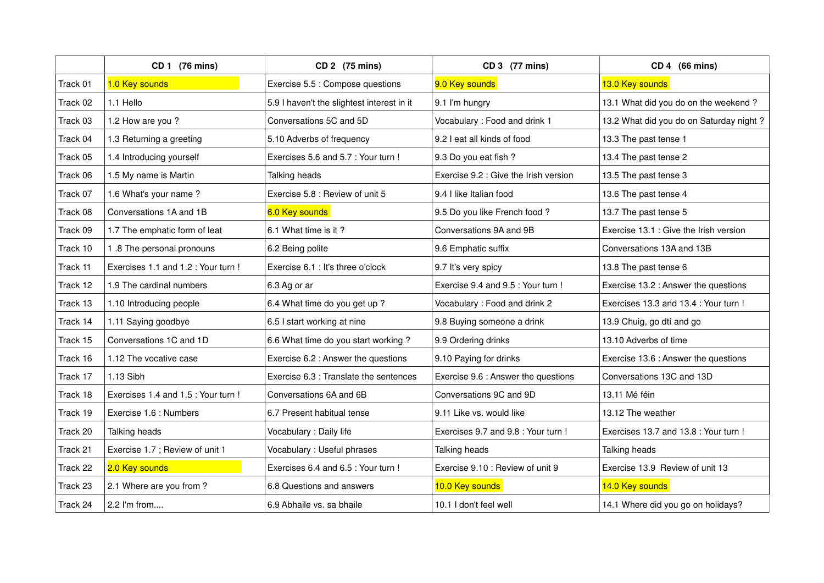|          | CD 1 (76 mins)                      | CD 2 (75 mins)                             | CD 3 (77 mins)                        | CD 4 (66 mins)                          |
|----------|-------------------------------------|--------------------------------------------|---------------------------------------|-----------------------------------------|
| Track 01 | 1.0 Key sounds                      | Exercise 5.5 : Compose questions           | 9.0 Key sounds                        | 13.0 Key sounds                         |
| Track 02 | 1.1 Hello                           | 5.9 I haven't the slightest interest in it | 9.1 I'm hungry                        | 13.1 What did you do on the weekend?    |
| Track 03 | 1.2 How are you?                    | Conversations 5C and 5D                    | Vocabulary: Food and drink 1          | 13.2 What did you do on Saturday night? |
| Track 04 | 1.3 Returning a greeting            | 5.10 Adverbs of frequency                  | 9.2 I eat all kinds of food           | 13.3 The past tense 1                   |
| Track 05 | 1.4 Introducing yourself            | Exercises 5.6 and 5.7 : Your turn !        | 9.3 Do you eat fish ?                 | 13.4 The past tense 2                   |
| Track 06 | 1.5 My name is Martin               | Talking heads                              | Exercise 9.2 : Give the Irish version | 13.5 The past tense 3                   |
| Track 07 | 1.6 What's your name?               | Exercise 5.8 : Review of unit 5            | 9.4 I like Italian food               | 13.6 The past tense 4                   |
| Track 08 | Conversations 1A and 1B             | 6.0 Key sounds                             | 9.5 Do you like French food ?         | 13.7 The past tense 5                   |
| Track 09 | 1.7 The emphatic form of leat       | 6.1 What time is it?                       | Conversations 9A and 9B               | Exercise 13.1 : Give the Irish version  |
| Track 10 | 1.8 The personal pronouns           | 6.2 Being polite                           | 9.6 Emphatic suffix                   | Conversations 13A and 13B               |
| Track 11 | Exercises 1.1 and 1.2 : Your turn ! | Exercise 6.1 : It's three o'clock          | 9.7 It's very spicy                   | 13.8 The past tense 6                   |
| Track 12 | 1.9 The cardinal numbers            | 6.3 Ag or ar                               | Exercise 9.4 and 9.5 : Your turn !    | Exercise 13.2 : Answer the questions    |
| Track 13 | 1.10 Introducing people             | 6.4 What time do you get up ?              | Vocabulary: Food and drink 2          | Exercises 13.3 and 13.4 : Your turn !   |
| Track 14 | 1.11 Saying goodbye                 | 6.5 I start working at nine                | 9.8 Buying someone a drink            | 13.9 Chuig, go dtí and go               |
| Track 15 | Conversations 1C and 1D             | 6.6 What time do you start working?        | 9.9 Ordering drinks                   | 13.10 Adverbs of time                   |
| Track 16 | 1.12 The vocative case              | Exercise 6.2 : Answer the questions        | 9.10 Paying for drinks                | Exercise 13.6 : Answer the questions    |
| Track 17 | 1.13 Sibh                           | Exercise 6.3 : Translate the sentences     | Exercise 9.6 : Answer the questions   | Conversations 13C and 13D               |
| Track 18 | Exercises 1.4 and 1.5 : Your turn ! | Conversations 6A and 6B                    | Conversations 9C and 9D               | 13.11 Mé féin                           |
| Track 19 | Exercise 1.6 : Numbers              | 6.7 Present habitual tense                 | 9.11 Like vs. would like              | 13.12 The weather                       |
| Track 20 | Talking heads                       | Vocabulary : Daily life                    | Exercises 9.7 and 9.8 : Your turn !   | Exercises 13.7 and 13.8 : Your turn !   |
| Track 21 | Exercise 1.7 ; Review of unit 1     | Vocabulary : Useful phrases                | Talking heads                         | Talking heads                           |
| Track 22 | 2.0 Key sounds                      | Exercises 6.4 and 6.5 : Your turn !        | Exercise 9.10 : Review of unit 9      | Exercise 13.9 Review of unit 13         |
| Track 23 | 2.1 Where are you from?             | 6.8 Questions and answers                  | 10.0 Key sounds                       | 14.0 Key sounds                         |
| Track 24 | 2.2 I'm from                        | 6.9 Abhaile vs. sa bhaile                  | 10.1 I don't feel well                | 14.1 Where did you go on holidays?      |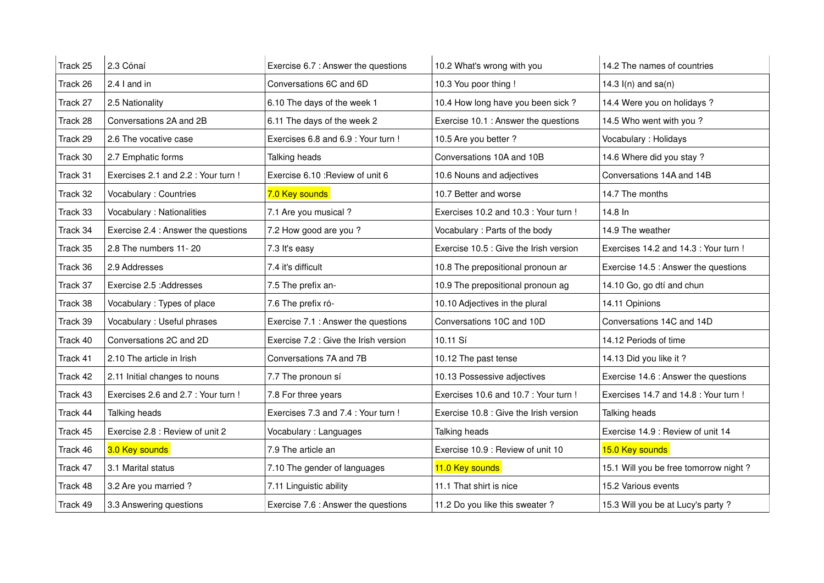| Track 25 | 2.3 Cónaí                           | Exercise 6.7 : Answer the questions   | 10.2 What's wrong with you             | 14.2 The names of countries           |
|----------|-------------------------------------|---------------------------------------|----------------------------------------|---------------------------------------|
| Track 26 | 2.4 I and in                        | Conversations 6C and 6D               | 10.3 You poor thing !                  | 14.3 $I(n)$ and sa $(n)$              |
| Track 27 | 2.5 Nationality                     | 6.10 The days of the week 1           | 10.4 How long have you been sick?      | 14.4 Were you on holidays ?           |
| Track 28 | Conversations 2A and 2B             | 6.11 The days of the week 2           | Exercise 10.1 : Answer the questions   | 14.5 Who went with you?               |
| Track 29 | 2.6 The vocative case               | Exercises 6.8 and 6.9 : Your turn !   | 10.5 Are you better ?                  | Vocabulary : Holidays                 |
| Track 30 | 2.7 Emphatic forms                  | Talking heads                         | Conversations 10A and 10B              | 14.6 Where did you stay ?             |
| Track 31 | Exercises 2.1 and 2.2 : Your turn ! | Exercise 6.10 : Review of unit 6      | 10.6 Nouns and adjectives              | Conversations 14A and 14B             |
| Track 32 | Vocabulary : Countries              | 7.0 Key sounds                        | 10.7 Better and worse                  | 14.7 The months                       |
| Track 33 | Vocabulary : Nationalities          | 7.1 Are you musical ?                 | Exercises 10.2 and 10.3 : Your turn !  | 14.8 In                               |
| Track 34 | Exercise 2.4 : Answer the questions | 7.2 How good are you?                 | Vocabulary: Parts of the body          | 14.9 The weather                      |
| Track 35 | 2.8 The numbers 11-20               | 7.3 It's easy                         | Exercise 10.5 : Give the Irish version | Exercises 14.2 and 14.3 : Your turn ! |
| Track 36 | 2.9 Addresses                       | 7.4 it's difficult                    | 10.8 The prepositional pronoun ar      | Exercise 14.5 : Answer the questions  |
| Track 37 | Exercise 2.5 : Addresses            | 7.5 The prefix an-                    | 10.9 The prepositional pronoun ag      | 14.10 Go, go dtí and chun             |
| Track 38 | Vocabulary: Types of place          | 7.6 The prefix ró-                    | 10.10 Adjectives in the plural         | 14.11 Opinions                        |
| Track 39 | Vocabulary : Useful phrases         | Exercise 7.1 : Answer the questions   | Conversations 10C and 10D              | Conversations 14C and 14D             |
| Track 40 | Conversations 2C and 2D             | Exercise 7.2 : Give the Irish version | 10.11 Sí                               | 14.12 Periods of time                 |
| Track 41 | 2.10 The article in Irish           | Conversations 7A and 7B               | 10.12 The past tense                   | 14.13 Did you like it?                |
| Track 42 | 2.11 Initial changes to nouns       | 7.7 The pronoun sí                    | 10.13 Possessive adjectives            | Exercise 14.6 : Answer the questions  |
| Track 43 | Exercises 2.6 and 2.7 : Your turn ! | 7.8 For three years                   | Exercises 10.6 and 10.7 : Your turn !  | Exercises 14.7 and 14.8 : Your turn ! |
| Track 44 | Talking heads                       | Exercises 7.3 and 7.4 : Your turn !   | Exercise 10.8 : Give the Irish version | Talking heads                         |
| Track 45 | Exercise 2.8 : Review of unit 2     | Vocabulary: Languages                 | Talking heads                          | Exercise 14.9 : Review of unit 14     |
| Track 46 | 3.0 Key sounds                      | 7.9 The article an                    | Exercise 10.9 : Review of unit 10      | 15.0 Key sounds                       |
| Track 47 | 3.1 Marital status                  | 7.10 The gender of languages          | 11.0 Key sounds                        | 15.1 Will you be free tomorrow night? |
| Track 48 | 3.2 Are you married ?               | 7.11 Linguistic ability               | 11.1 That shirt is nice                | 15.2 Various events                   |
| Track 49 | 3.3 Answering questions             | Exercise 7.6 : Answer the questions   | 11.2 Do you like this sweater?         | 15.3 Will you be at Lucy's party?     |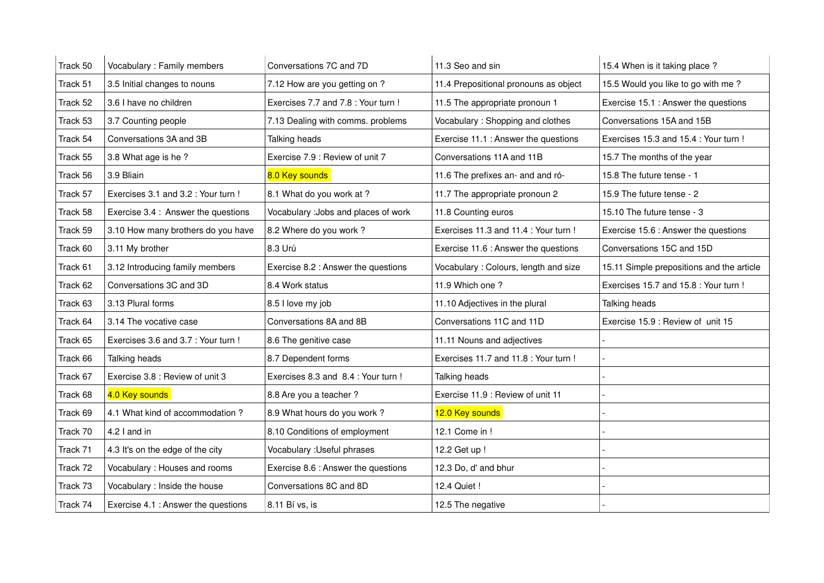| Track 50 | Vocabulary : Family members         | Conversations 7C and 7D              | 11.3 Seo and sin                      | 15.4 When is it taking place?             |
|----------|-------------------------------------|--------------------------------------|---------------------------------------|-------------------------------------------|
| Track 51 | 3.5 Initial changes to nouns        | 7.12 How are you getting on ?        | 11.4 Prepositional pronouns as object | 15.5 Would you like to go with me?        |
| Track 52 | 3.6 I have no children              | Exercises 7.7 and 7.8 : Your turn !  | 11.5 The appropriate pronoun 1        | Exercise 15.1 : Answer the questions      |
| Track 53 | 3.7 Counting people                 | 7.13 Dealing with comms. problems    | Vocabulary: Shopping and clothes      | Conversations 15A and 15B                 |
| Track 54 | Conversations 3A and 3B             | Talking heads                        | Exercise 11.1 : Answer the questions  | Exercises 15.3 and 15.4 : Your turn !     |
| Track 55 | 3.8 What age is he?                 | Exercise 7.9 : Review of unit 7      | Conversations 11A and 11B             | 15.7 The months of the year               |
| Track 56 | 3.9 Bliain                          | 8.0 Key sounds                       | 11.6 The prefixes an- and and ró-     | 15.8 The future tense - 1                 |
| Track 57 | Exercises 3.1 and 3.2 : Your turn ! | 8.1 What do you work at ?            | 11.7 The appropriate pronoun 2        | 15.9 The future tense - 2                 |
| Track 58 | Exercise 3.4 : Answer the questions | Vocabulary : Jobs and places of work | 11.8 Counting euros                   | 15.10 The future tense - 3                |
| Track 59 | 3.10 How many brothers do you have  | 8.2 Where do you work?               | Exercises 11.3 and 11.4 : Your turn ! | Exercise 15.6 : Answer the questions      |
| Track 60 | 3.11 My brother                     | 8.3 Urú                              | Exercise 11.6 : Answer the questions  | Conversations 15C and 15D                 |
| Track 61 | 3.12 Introducing family members     | Exercise 8.2 : Answer the questions  | Vocabulary: Colours, length and size  | 15.11 Simple prepositions and the article |
| Track 62 | Conversations 3C and 3D             | 8.4 Work status                      | 11.9 Which one ?                      | Exercises 15.7 and 15.8 : Your turn !     |
| Track 63 | 3.13 Plural forms                   | 8.5 I love my job                    | 11.10 Adjectives in the plural        | Talking heads                             |
| Track 64 | 3.14 The vocative case              | Conversations 8A and 8B              | Conversations 11C and 11D             | Exercise 15.9 : Review of unit 15         |
| Track 65 | Exercises 3.6 and 3.7 : Your turn ! | 8.6 The genitive case                | 11.11 Nouns and adjectives            |                                           |
| Track 66 | Talking heads                       | 8.7 Dependent forms                  | Exercises 11.7 and 11.8 : Your turn ! |                                           |
| Track 67 | Exercise 3.8 : Review of unit 3     | Exercises 8.3 and 8.4 : Your turn !  | Talking heads                         |                                           |
| Track 68 | 4.0 Key sounds                      | 8.8 Are you a teacher ?              | Exercise 11.9 : Review of unit 11     |                                           |
| Track 69 | 4.1 What kind of accommodation?     | 8.9 What hours do you work?          | 12.0 Key sounds                       |                                           |
| Track 70 | 4.2 I and in                        | 8.10 Conditions of employment        | 12.1 Come in !                        |                                           |
| Track 71 | 4.3 It's on the edge of the city    | Vocabulary : Useful phrases          | 12.2 Get up !                         |                                           |
| Track 72 | Vocabulary: Houses and rooms        | Exercise 8.6 : Answer the questions  | 12.3 Do, d' and bhur                  |                                           |
| Track 73 | Vocabulary : Inside the house       | Conversations 8C and 8D              | 12.4 Quiet !                          |                                           |
| Track 74 | Exercise 4.1 : Answer the questions | 8.11 Bí vs, is                       | 12.5 The negative                     |                                           |